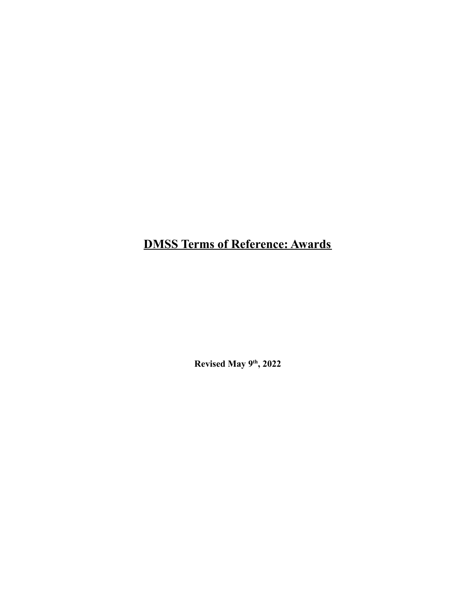**DMSS Terms of Reference: Awards**

**Revised May 9th , 2022**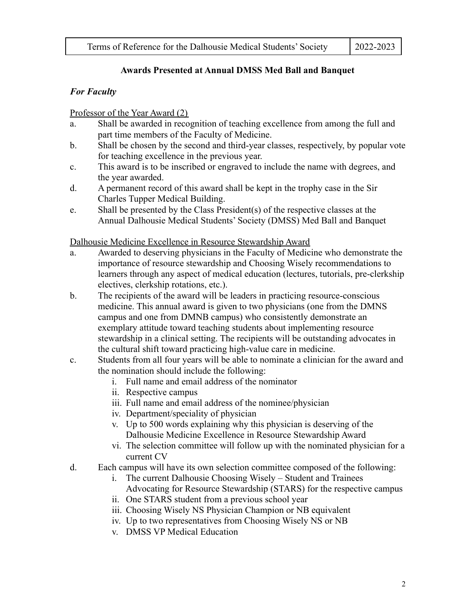#### **Awards Presented at Annual DMSS Med Ball and Banquet**

#### *For Faculty*

#### Professor of the Year Award (2)

- a. Shall be awarded in recognition of teaching excellence from among the full and part time members of the Faculty of Medicine.
- b. Shall be chosen by the second and third-year classes, respectively, by popular vote for teaching excellence in the previous year.
- c. This award is to be inscribed or engraved to include the name with degrees, and the year awarded.
- d. A permanent record of this award shall be kept in the trophy case in the Sir Charles Tupper Medical Building.
- e. Shall be presented by the Class President(s) of the respective classes at the Annual Dalhousie Medical Students' Society (DMSS) Med Ball and Banquet

#### Dalhousie Medicine Excellence in Resource Stewardship Award

- a. Awarded to deserving physicians in the Faculty of Medicine who demonstrate the importance of resource stewardship and Choosing Wisely recommendations to learners through any aspect of medical education (lectures, tutorials, pre-clerkship electives, clerkship rotations, etc.).
- b. The recipients of the award will be leaders in practicing resource-conscious medicine. This annual award is given to two physicians (one from the DMNS campus and one from DMNB campus) who consistently demonstrate an exemplary attitude toward teaching students about implementing resource stewardship in a clinical setting. The recipients will be outstanding advocates in the cultural shift toward practicing high-value care in medicine.
- c. Students from all four years will be able to nominate a clinician for the award and the nomination should include the following:
	- i. Full name and email address of the nominator
	- ii. Respective campus
	- iii. Full name and email address of the nominee/physician
	- iv. Department/speciality of physician
	- v. Up to 500 words explaining why this physician is deserving of the Dalhousie Medicine Excellence in Resource Stewardship Award
	- vi. The selection committee will follow up with the nominated physician for a current CV
- d. Each campus will have its own selection committee composed of the following:
	- i. The current Dalhousie Choosing Wisely Student and Trainees
	- Advocating for Resource Stewardship (STARS) for the respective campus
	- ii. One STARS student from a previous school year
	- iii. Choosing Wisely NS Physician Champion or NB equivalent
	- iv. Up to two representatives from Choosing Wisely NS or NB
	- v. DMSS VP Medical Education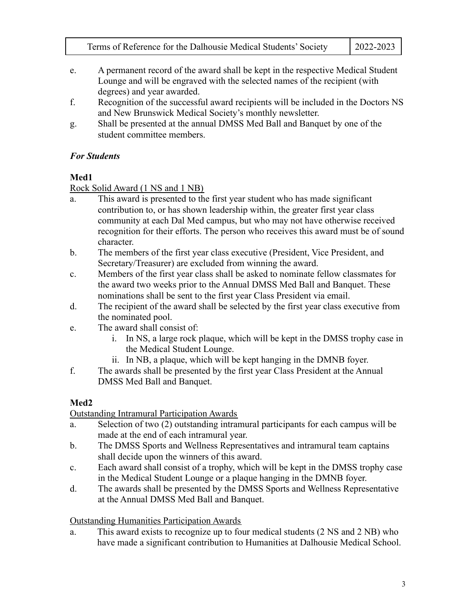| Terms of Reference for the Dalhousie Medical Students' Society | $2022 - 2023$ |
|----------------------------------------------------------------|---------------|
|----------------------------------------------------------------|---------------|

- e. A permanent record of the award shall be kept in the respective Medical Student Lounge and will be engraved with the selected names of the recipient (with degrees) and year awarded.
- f. Recognition of the successful award recipients will be included in the Doctors NS and New Brunswick Medical Society's monthly newsletter.
- g. Shall be presented at the annual DMSS Med Ball and Banquet by one of the student committee members.

## *For Students*

# **Med1**

Rock Solid Award (1 NS and 1 NB)

- a. This award is presented to the first year student who has made significant contribution to, or has shown leadership within, the greater first year class community at each Dal Med campus, but who may not have otherwise received recognition for their efforts. The person who receives this award must be of sound character.
- b. The members of the first year class executive (President, Vice President, and Secretary/Treasurer) are excluded from winning the award.
- c. Members of the first year class shall be asked to nominate fellow classmates for the award two weeks prior to the Annual DMSS Med Ball and Banquet. These nominations shall be sent to the first year Class President via email.
- d. The recipient of the award shall be selected by the first year class executive from the nominated pool.
- e. The award shall consist of:
	- i. In NS, a large rock plaque, which will be kept in the DMSS trophy case in the Medical Student Lounge.
	- ii. In NB, a plaque, which will be kept hanging in the DMNB foyer.
- f. The awards shall be presented by the first year Class President at the Annual DMSS Med Ball and Banquet.

# **Med2**

Outstanding Intramural Participation Awards

- a. Selection of two (2) outstanding intramural participants for each campus will be made at the end of each intramural year.
- b. The DMSS Sports and Wellness Representatives and intramural team captains shall decide upon the winners of this award.
- c. Each award shall consist of a trophy, which will be kept in the DMSS trophy case in the Medical Student Lounge or a plaque hanging in the DMNB foyer.
- d. The awards shall be presented by the DMSS Sports and Wellness Representative at the Annual DMSS Med Ball and Banquet.

# Outstanding Humanities Participation Awards

a. This award exists to recognize up to four medical students (2 NS and 2 NB) who have made a significant contribution to Humanities at Dalhousie Medical School.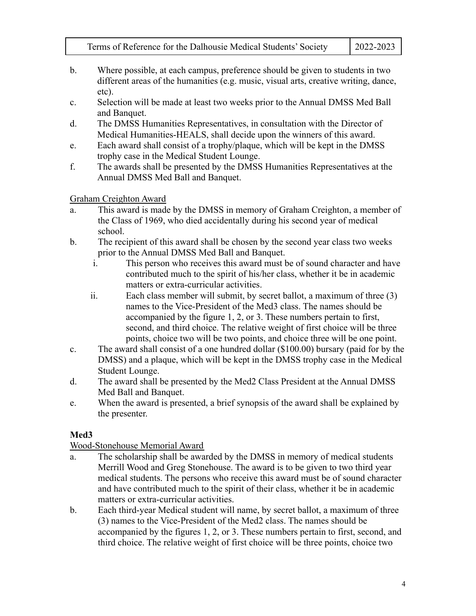Terms of Reference for the Dalhousie Medical Students' Society 2022-2023

- b. Where possible, at each campus, preference should be given to students in two different areas of the humanities (e.g. music, visual arts, creative writing, dance, etc).
- c. Selection will be made at least two weeks prior to the Annual DMSS Med Ball and Banquet.
- d. The DMSS Humanities Representatives, in consultation with the Director of Medical Humanities-HEALS, shall decide upon the winners of this award.
- e. Each award shall consist of a trophy/plaque, which will be kept in the DMSS trophy case in the Medical Student Lounge.
- f. The awards shall be presented by the DMSS Humanities Representatives at the Annual DMSS Med Ball and Banquet.

#### Graham Creighton Award

- a. This award is made by the DMSS in memory of Graham Creighton, a member of the Class of 1969, who died accidentally during his second year of medical school.
- b. The recipient of this award shall be chosen by the second year class two weeks prior to the Annual DMSS Med Ball and Banquet.
	- i. This person who receives this award must be of sound character and have contributed much to the spirit of his/her class, whether it be in academic matters or extra-curricular activities.
	- ii. Each class member will submit, by secret ballot, a maximum of three (3) names to the Vice-President of the Med3 class. The names should be accompanied by the figure 1, 2, or 3. These numbers pertain to first, second, and third choice. The relative weight of first choice will be three points, choice two will be two points, and choice three will be one point.
- c. The award shall consist of a one hundred dollar (\$100.00) bursary (paid for by the DMSS) and a plaque, which will be kept in the DMSS trophy case in the Medical Student Lounge.
- d. The award shall be presented by the Med2 Class President at the Annual DMSS Med Ball and Banquet.
- e. When the award is presented, a brief synopsis of the award shall be explained by the presenter.

### **Med3**

### Wood-Stonehouse Memorial Award

- a. The scholarship shall be awarded by the DMSS in memory of medical students Merrill Wood and Greg Stonehouse. The award is to be given to two third year medical students. The persons who receive this award must be of sound character and have contributed much to the spirit of their class, whether it be in academic matters or extra-curricular activities.
- b. Each third-year Medical student will name, by secret ballot, a maximum of three (3) names to the Vice-President of the Med2 class. The names should be accompanied by the figures 1, 2, or 3. These numbers pertain to first, second, and third choice. The relative weight of first choice will be three points, choice two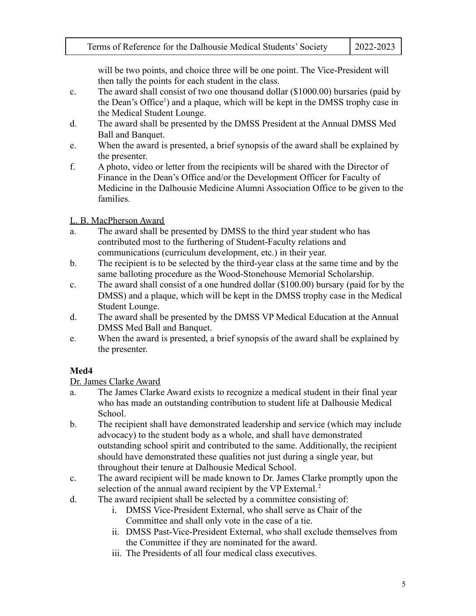will be two points, and choice three will be one point. The Vice-President will then tally the points for each student in the class.

- c. The award shall consist of two one thousand dollar (\$1000.00) bursaries (paid by the Dean's Office<sup>1</sup>) and a plaque, which will be kept in the DMSS trophy case in the Medical Student Lounge.
- d. The award shall be presented by the DMSS President at the Annual DMSS Med Ball and Banquet.
- e. When the award is presented, a brief synopsis of the award shall be explained by the presenter.
- f. A photo, video or letter from the recipients will be shared with the Director of Finance in the Dean's Office and/or the Development Officer for Faculty of Medicine in the Dalhousie Medicine Alumni Association Office to be given to the families.

#### L. B. MacPherson Award

- a. The award shall be presented by DMSS to the third year student who has contributed most to the furthering of Student-Faculty relations and communications (curriculum development, etc.) in their year.
- b. The recipient is to be selected by the third-year class at the same time and by the same balloting procedure as the Wood-Stonehouse Memorial Scholarship.
- c. The award shall consist of a one hundred dollar (\$100.00) bursary (paid for by the DMSS) and a plaque, which will be kept in the DMSS trophy case in the Medical Student Lounge.
- d. The award shall be presented by the DMSS VP Medical Education at the Annual DMSS Med Ball and Banquet.
- e. When the award is presented, a brief synopsis of the award shall be explained by the presenter.

### **Med4**

Dr. James Clarke Award

- a. The James Clarke Award exists to recognize a medical student in their final year who has made an outstanding contribution to student life at Dalhousie Medical School.
- b. The recipient shall have demonstrated leadership and service (which may include advocacy) to the student body as a whole, and shall have demonstrated outstanding school spirit and contributed to the same. Additionally, the recipient should have demonstrated these qualities not just during a single year, but throughout their tenure at Dalhousie Medical School.
- c. The award recipient will be made known to Dr. James Clarke promptly upon the selection of the annual award recipient by the VP External.<sup>2</sup>
- d. The award recipient shall be selected by a committee consisting of:
	- i. DMSS Vice-President External, who shall serve as Chair of the Committee and shall only vote in the case of a tie.
	- ii. DMSS Past-Vice-President External, who shall exclude themselves from the Committee if they are nominated for the award.
	- iii. The Presidents of all four medical class executives.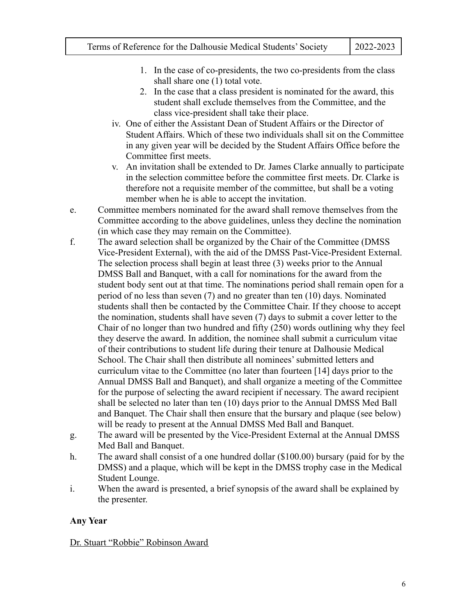- 1. In the case of co-presidents, the two co-presidents from the class shall share one (1) total vote.
- 2. In the case that a class president is nominated for the award, this student shall exclude themselves from the Committee, and the class vice-president shall take their place.
- iv. One of either the Assistant Dean of Student Affairs or the Director of Student Affairs. Which of these two individuals shall sit on the Committee in any given year will be decided by the Student Affairs Office before the Committee first meets.
- v. An invitation shall be extended to Dr. James Clarke annually to participate in the selection committee before the committee first meets. Dr. Clarke is therefore not a requisite member of the committee, but shall be a voting member when he is able to accept the invitation.
- e. Committee members nominated for the award shall remove themselves from the Committee according to the above guidelines, unless they decline the nomination (in which case they may remain on the Committee).
- f. The award selection shall be organized by the Chair of the Committee (DMSS Vice-President External), with the aid of the DMSS Past-Vice-President External. The selection process shall begin at least three (3) weeks prior to the Annual DMSS Ball and Banquet, with a call for nominations for the award from the student body sent out at that time. The nominations period shall remain open for a period of no less than seven (7) and no greater than ten (10) days. Nominated students shall then be contacted by the Committee Chair. If they choose to accept the nomination, students shall have seven (7) days to submit a cover letter to the Chair of no longer than two hundred and fifty (250) words outlining why they feel they deserve the award. In addition, the nominee shall submit a curriculum vitae of their contributions to student life during their tenure at Dalhousie Medical School. The Chair shall then distribute all nominees' submitted letters and curriculum vitae to the Committee (no later than fourteen [14] days prior to the Annual DMSS Ball and Banquet), and shall organize a meeting of the Committee for the purpose of selecting the award recipient if necessary. The award recipient shall be selected no later than ten (10) days prior to the Annual DMSS Med Ball and Banquet. The Chair shall then ensure that the bursary and plaque (see below) will be ready to present at the Annual DMSS Med Ball and Banquet.
- g. The award will be presented by the Vice-President External at the Annual DMSS Med Ball and Banquet.
- h. The award shall consist of a one hundred dollar (\$100.00) bursary (paid for by the DMSS) and a plaque, which will be kept in the DMSS trophy case in the Medical Student Lounge.
- i. When the award is presented, a brief synopsis of the award shall be explained by the presenter.

#### **Any Year**

Dr. Stuart "Robbie" Robinson Award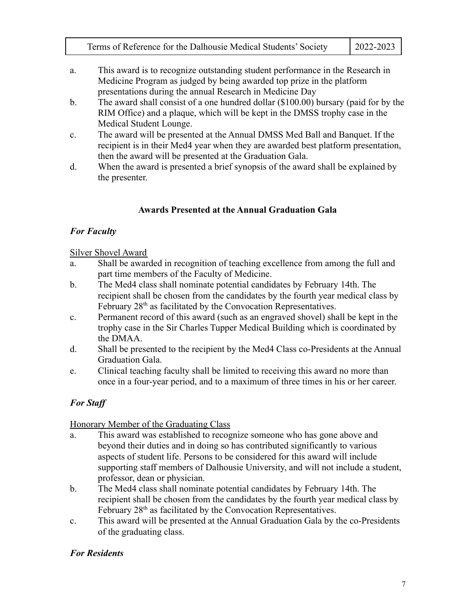| Terms of Reference for the Dalhousie Medical Students' Society | $2022 - 2023$ |
|----------------------------------------------------------------|---------------|
|----------------------------------------------------------------|---------------|

- a. This award is to recognize outstanding student performance in the Research in Medicine Program as judged by being awarded top prize in the platform presentations during the annual Research in Medicine Day
- b. The award shall consist of a one hundred dollar (\$100.00) bursary (paid for by the RIM Office) and a plaque, which will be kept in the DMSS trophy case in the Medical Student Lounge.
- c. The award will be presented at the Annual DMSS Med Ball and Banquet. If the recipient is in their Med4 year when they are awarded best platform presentation, then the award will be presented at the Graduation Gala.
- d. When the award is presented a brief synopsis of the award shall be explained by the presenter.

### **Awards Presented at the Annual Graduation Gala**

## *For Faculty*

#### Silver Shovel Award

- a. Shall be awarded in recognition of teaching excellence from among the full and part time members of the Faculty of Medicine.
- b. The Med4 class shall nominate potential candidates by February 14th. The recipient shall be chosen from the candidates by the fourth year medical class by February 28<sup>th</sup> as facilitated by the Convocation Representatives.
- c. Permanent record of this award (such as an engraved shovel) shall be kept in the trophy case in the Sir Charles Tupper Medical Building which is coordinated by the DMAA.
- d. Shall be presented to the recipient by the Med4 Class co-Presidents at the Annual Graduation Gala.
- e. Clinical teaching faculty shall be limited to receiving this award no more than once in a four-year period, and to a maximum of three times in his or her career.

# *For Staff*

### Honorary Member of the Graduating Class

- a. This award was established to recognize someone who has gone above and beyond their duties and in doing so has contributed significantly to various aspects of student life. Persons to be considered for this award will include supporting staff members of Dalhousie University, and will not include a student, professor, dean or physician.
- b. The Med4 class shall nominate potential candidates by February 14th. The recipient shall be chosen from the candidates by the fourth year medical class by February 28<sup>th</sup> as facilitated by the Convocation Representatives.
- c. This award will be presented at the Annual Graduation Gala by the co-Presidents of the graduating class.

# *For Residents*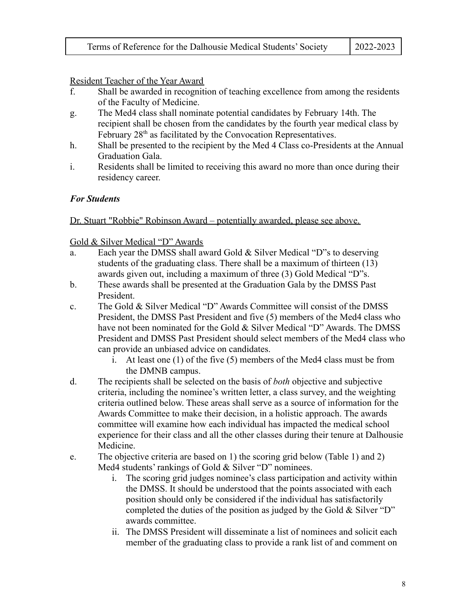Resident Teacher of the Year Award

- f. Shall be awarded in recognition of teaching excellence from among the residents of the Faculty of Medicine.
- g. The Med4 class shall nominate potential candidates by February 14th. The recipient shall be chosen from the candidates by the fourth year medical class by February 28<sup>th</sup> as facilitated by the Convocation Representatives.
- h. Shall be presented to the recipient by the Med 4 Class co-Presidents at the Annual Graduation Gala.
- i. Residents shall be limited to receiving this award no more than once during their residency career.

#### *For Students*

Dr. Stuart "Robbie" Robinson Award – potentially awarded, please see above.

Gold & Silver Medical "D" Awards

- a. Each year the DMSS shall award Gold & Silver Medical "D"s to deserving students of the graduating class. There shall be a maximum of thirteen (13) awards given out, including a maximum of three (3) Gold Medical "D"s.
- b. These awards shall be presented at the Graduation Gala by the DMSS Past President.
- c. The Gold & Silver Medical "D" Awards Committee will consist of the DMSS President, the DMSS Past President and five (5) members of the Med4 class who have not been nominated for the Gold & Silver Medical "D" Awards. The DMSS President and DMSS Past President should select members of the Med4 class who can provide an unbiased advice on candidates.
	- i. At least one (1) of the five (5) members of the Med4 class must be from the DMNB campus.
- d. The recipients shall be selected on the basis of *both* objective and subjective criteria, including the nominee's written letter, a class survey, and the weighting criteria outlined below. These areas shall serve as a source of information for the Awards Committee to make their decision, in a holistic approach. The awards committee will examine how each individual has impacted the medical school experience for their class and all the other classes during their tenure at Dalhousie Medicine.
- e. The objective criteria are based on 1) the scoring grid below (Table 1) and 2) Med4 students' rankings of Gold & Silver "D" nominees.
	- i. The scoring grid judges nominee's class participation and activity within the DMSS. It should be understood that the points associated with each position should only be considered if the individual has satisfactorily completed the duties of the position as judged by the Gold & Silver "D" awards committee.
	- ii. The DMSS President will disseminate a list of nominees and solicit each member of the graduating class to provide a rank list of and comment on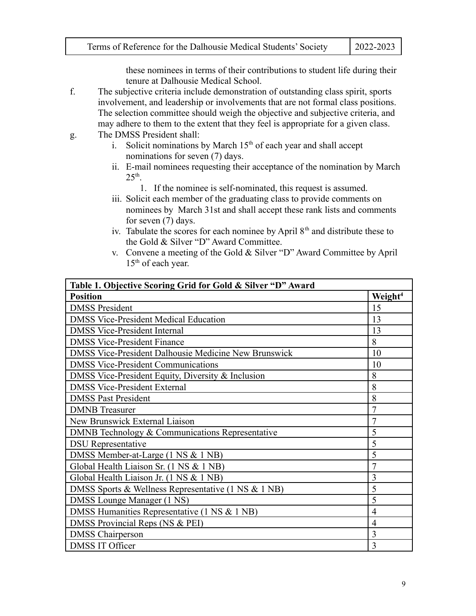these nominees in terms of their contributions to student life during their tenure at Dalhousie Medical School.

- f. The subjective criteria include demonstration of outstanding class spirit, sports involvement, and leadership or involvements that are not formal class positions. The selection committee should weigh the objective and subjective criteria, and may adhere to them to the extent that they feel is appropriate for a given class.
- g. The DMSS President shall:
	- i. Solicit nominations by March  $15<sup>th</sup>$  of each year and shall accept nominations for seven (7) days.
	- ii. E-mail nominees requesting their acceptance of the nomination by March  $25<sup>th</sup>$ .
		- 1. If the nominee is self-nominated, this request is assumed.
	- iii. Solicit each member of the graduating class to provide comments on nominees by March 31st and shall accept these rank lists and comments for seven (7) days.
	- iv. Tabulate the scores for each nominee by April  $8<sup>th</sup>$  and distribute these to the Gold & Silver "D" Award Committee.
	- v. Convene a meeting of the Gold & Silver "D" Award Committee by April 15<sup>th</sup> of each year.

| Table 1. Objective Scoring Grid for Gold & Silver "D" Award |                     |
|-------------------------------------------------------------|---------------------|
| <b>Position</b>                                             | Weight <sup>4</sup> |
| <b>DMSS President</b>                                       | 15                  |
| <b>DMSS Vice-President Medical Education</b>                | 13                  |
| <b>DMSS Vice-President Internal</b>                         | 13                  |
| <b>DMSS Vice-President Finance</b>                          | 8                   |
| <b>DMSS Vice-President Dalhousie Medicine New Brunswick</b> | 10                  |
| <b>DMSS Vice-President Communications</b>                   | 10                  |
| DMSS Vice-President Equity, Diversity & Inclusion           | 8                   |
| <b>DMSS Vice-President External</b>                         | 8                   |
| <b>DMSS Past President</b>                                  | 8                   |
| <b>DMNB</b> Treasurer                                       | $\overline{7}$      |
| New Brunswick External Liaison                              | $\overline{7}$      |
| DMNB Technology & Communications Representative             | 5                   |
| <b>DSU</b> Representative                                   | 5                   |
| DMSS Member-at-Large (1 NS & 1 NB)                          | 5                   |
| Global Health Liaison Sr. (1 NS & 1 NB)                     | 7                   |
| Global Health Liaison Jr. (1 NS & 1 NB)                     | 3                   |
| DMSS Sports & Wellness Representative (1 NS & 1 NB)         | 5                   |
| DMSS Lounge Manager (1 NS)                                  | 5                   |
| DMSS Humanities Representative (1 NS & 1 NB)                | 4                   |
| DMSS Provincial Reps (NS & PEI)                             | $\overline{4}$      |
| <b>DMSS</b> Chairperson                                     | $\overline{3}$      |
| <b>DMSS IT Officer</b>                                      | 3                   |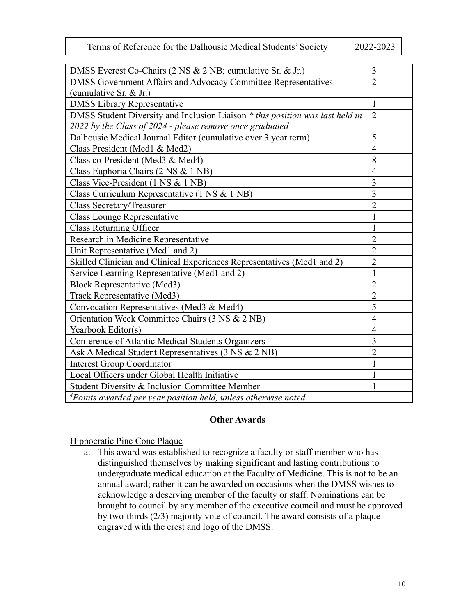| Terms of Reference for the Dalhousie Medical Students' Society | $\mid$ 2022-2023 |
|----------------------------------------------------------------|------------------|
|----------------------------------------------------------------|------------------|

| DMSS Everest Co-Chairs (2 NS & 2 NB; cumulative Sr. & Jr.)                    | 3              |
|-------------------------------------------------------------------------------|----------------|
| DMSS Government Affairs and Advocacy Committee Representatives                | $\overline{2}$ |
| (cumulative Sr. & Jr.)                                                        |                |
| <b>DMSS Library Representative</b>                                            | $\mathbf{1}$   |
| DMSS Student Diversity and Inclusion Liaison * this position was last held in | $\overline{2}$ |
| 2022 by the Class of 2024 - please remove once graduated                      |                |
| Dalhousie Medical Journal Editor (cumulative over 3 year term)                | 5              |
| Class President (Med1 & Med2)                                                 | $\overline{4}$ |
| Class co-President (Med3 & Med4)                                              | 8              |
| Class Euphoria Chairs (2 NS & 1 NB)                                           | $\overline{4}$ |
| Class Vice-President (1 NS & 1 NB)                                            | $\overline{3}$ |
| Class Curriculum Representative (1 NS & 1 NB)                                 | 3              |
| <b>Class Secretary/Treasurer</b>                                              | $\overline{2}$ |
| <b>Class Lounge Representative</b>                                            | 1              |
| <b>Class Returning Officer</b>                                                | 1              |
| Research in Medicine Representative                                           | $\overline{2}$ |
| Unit Representative (Med1 and 2)                                              | $\overline{2}$ |
| Skilled Clinician and Clinical Experiences Representatives (Med1 and 2)       | $\overline{2}$ |
| Service Learning Representative (Med1 and 2)                                  | 1              |
| <b>Block Representative (Med3)</b>                                            | $\overline{2}$ |
| <b>Track Representative (Med3)</b>                                            | $\overline{2}$ |
| Convocation Representatives (Med3 & Med4)                                     | 5              |
| Orientation Week Committee Chairs (3 NS & 2 NB)                               | $\overline{4}$ |
| Yearbook Editor(s)                                                            | $\overline{4}$ |
| Conference of Atlantic Medical Students Organizers                            | 3              |
| Ask A Medical Student Representatives (3 NS & 2 NB)                           | $\overline{2}$ |
| <b>Interest Group Coordinator</b>                                             | 1              |
| Local Officers under Global Health Initiative                                 | 1              |
| Student Diversity & Inclusion Committee Member                                | 1              |
| <sup>4</sup> Points awarded per year position held, unless otherwise noted    |                |

#### **Other Awards**

#### Hippocratic Pine Cone Plaque

a. This award was established to recognize a faculty or staff member who has distinguished themselves by making significant and lasting contributions to undergraduate medical education at the Faculty of Medicine. This is not to be an annual award; rather it can be awarded on occasions when the DMSS wishes to acknowledge a deserving member of the faculty or staff. Nominations can be brought to council by any member of the executive council and must be approved by two-thirds (2/3) majority vote of council. The award consists of a plaque engraved with the crest and logo of the DMSS.